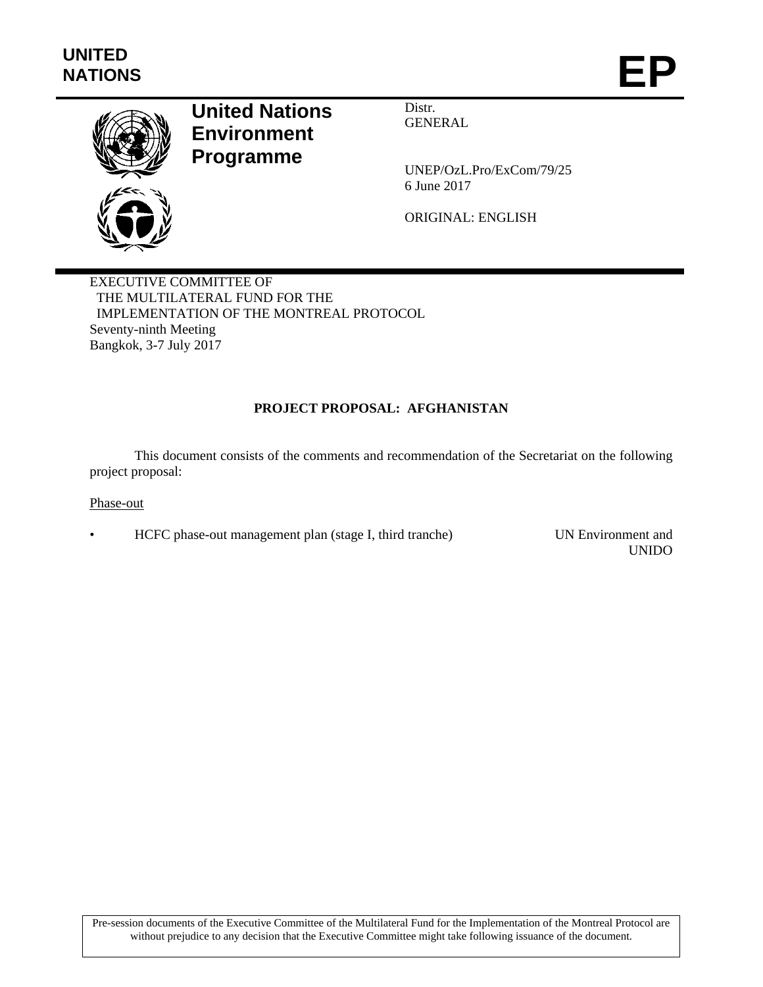

# **United Nations Environment Programme**

Distr. GENERAL

UNEP/OzL.Pro/ExCom/79/25 6 June 2017

ORIGINAL: ENGLISH

EXECUTIVE COMMITTEE OF THE MULTILATERAL FUND FOR THE IMPLEMENTATION OF THE MONTREAL PROTOCOL Seventy-ninth Meeting Bangkok, 3-7 July 2017

## **PROJECT PROPOSAL: AFGHANISTAN**

This document consists of the comments and recommendation of the Secretariat on the following project proposal:

Phase-out

• HCFC phase-out management plan (stage I, third tranche) UN Environment and

UNIDO

Pre-session documents of the Executive Committee of the Multilateral Fund for the Implementation of the Montreal Protocol are without prejudice to any decision that the Executive Committee might take following issuance of the document.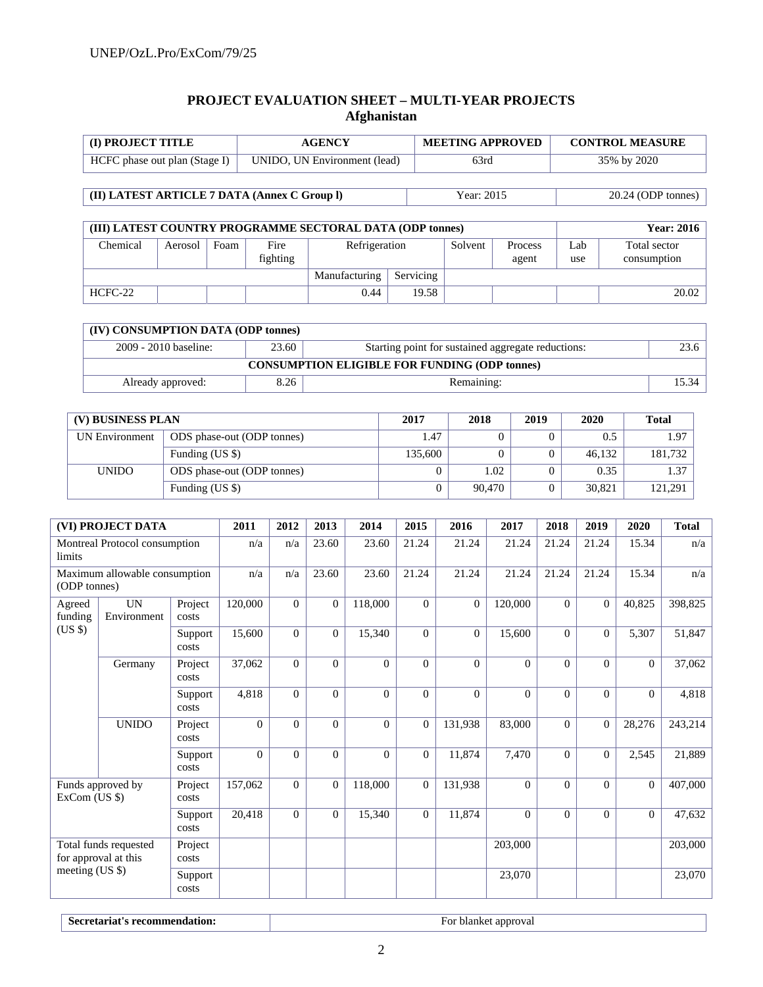## **PROJECT EVALUATION SHEET – MULTI-YEAR PROJECTS Afghanistan**

| <b>I</b> (I) PROJECT TITLE    | <b>AGENCY</b>                | <b>MEETING APPROVED</b> | <b>CONTROL MEASURE</b> |
|-------------------------------|------------------------------|-------------------------|------------------------|
| HCFC phase out plan (Stage I) | UNIDO, UN Environment (lead) | 63rd                    | 35% by 2020            |

**(II) LATEST ARTICLE 7 DATA (Annex C Group l)** Year: 2015 20.24 (ODP tonnes)

| (III) LATEST COUNTRY PROGRAMME SECTORAL DATA (ODP tonnes) |         |               |                  |               |       |         |                         |            | <b>Year: 2016</b>           |
|-----------------------------------------------------------|---------|---------------|------------------|---------------|-------|---------|-------------------------|------------|-----------------------------|
| Chemical                                                  | Aerosol | Foam          | Fire<br>fighting | Refrigeration |       | Solvent | <b>Process</b><br>agent | _ab<br>use | Total sector<br>consumption |
|                                                           |         | Manufacturing | Servicing        |               |       |         |                         |            |                             |
| HCFC-22                                                   |         |               |                  | 0.44          | 19.58 |         |                         |            | 20.02                       |

| (IV) CONSUMPTION DATA (ODP tonnes)                                                   |                                                      |            |       |  |  |  |  |  |  |  |  |
|--------------------------------------------------------------------------------------|------------------------------------------------------|------------|-------|--|--|--|--|--|--|--|--|
| 23.60<br>2009 - 2010 baseline:<br>Starting point for sustained aggregate reductions: |                                                      |            |       |  |  |  |  |  |  |  |  |
|                                                                                      | <b>CONSUMPTION ELIGIBLE FOR FUNDING (ODP tonnes)</b> |            |       |  |  |  |  |  |  |  |  |
| Already approved:                                                                    | 8.26                                                 | Remaining: | 15.34 |  |  |  |  |  |  |  |  |

| (V) BUSINESS PLAN | 2017                       | 2018    | 2019   | 2020 | <b>Total</b> |         |
|-------------------|----------------------------|---------|--------|------|--------------|---------|
| UN Environment    | ODS phase-out (ODP tonnes) | 1.47    |        |      | 0.5          | 1.97    |
|                   | Funding (US \$)            | 135,600 |        |      | 46.132       | 181,732 |
| <b>UNIDO</b>      | ODS phase-out (ODP tonnes) |         | 1.02   |      | 0.35         | 1.37    |
|                   | Funding (US \$)            |         | 90,470 |      | 30,821       | 121,291 |

|                   | (VI) PROJECT DATA                             |                  | 2011     | 2012     | 2013           | 2014           | 2015           | 2016           | 2017     | 2018           | 2019     | 2020           | <b>Total</b> |
|-------------------|-----------------------------------------------|------------------|----------|----------|----------------|----------------|----------------|----------------|----------|----------------|----------|----------------|--------------|
| limits            | Montreal Protocol consumption                 |                  | n/a      | n/a      | 23.60          | 23.60          | 21.24          | 21.24          | 21.24    | 21.24          | 21.24    | 15.34          | n/a          |
| (ODP tonnes)      | Maximum allowable consumption                 |                  | n/a      | n/a      | 23.60          | 23.60          | 21.24          | 21.24          | 21.24    | 21.24          | 21.24    | 15.34          | n/a          |
| Agreed<br>funding | <b>UN</b><br>Environment                      | Project<br>costs | 120,000  | $\Omega$ | $\overline{0}$ | 118,000        | $\Omega$       | $\overline{0}$ | 120,000  | $\overline{0}$ | $\Omega$ | 40,825         | 398,825      |
| $(US \$           |                                               | Support<br>costs | 15,600   | $\Omega$ | $\theta$       | 15,340         | $\Omega$       | $\Omega$       | 15,600   | $\Omega$       | $\Omega$ | 5,307          | 51,847       |
|                   | Germany                                       | Project<br>costs | 37,062   | $\Omega$ | $\Omega$       | $\Omega$       | $\Omega$       | $\overline{0}$ | $\Omega$ | $\Omega$       | $\Omega$ | $\overline{0}$ | 37,062       |
|                   |                                               | Support<br>costs | 4,818    | $\Omega$ | $\theta$       | $\Omega$       | $\Omega$       | $\theta$       | $\Omega$ | $\Omega$       | $\Omega$ | $\overline{0}$ | 4,818        |
|                   | <b>UNIDO</b>                                  | Project<br>costs | $\Omega$ | $\Omega$ | $\overline{0}$ | $\overline{0}$ | $\overline{0}$ | 131,938        | 83,000   | $\theta$       | $\Omega$ | 28,276         | 243,214      |
|                   |                                               | Support<br>costs | $\Omega$ | $\Omega$ | $\overline{0}$ | $\theta$       | $\overline{0}$ | 11,874         | 7,470    | $\Omega$       | $\Omega$ | 2,545          | 21,889       |
| $ExCom$ (US $\$ ) | Funds approved by                             | Project<br>costs | 157,062  | $\Omega$ | $\mathbf{0}$   | 118,000        | $\theta$       | 131,938        | $\Omega$ | $\Omega$       | $\Omega$ | $\overline{0}$ | 407,000      |
|                   |                                               | Support<br>costs | 20,418   | $\Omega$ | $\overline{0}$ | 15,340         | $\overline{0}$ | 11,874         | $\Omega$ | $\Omega$       | $\Omega$ | $\overline{0}$ | 47,632       |
|                   | Total funds requested<br>for approval at this | Project<br>costs |          |          |                |                |                |                | 203,000  |                |          |                | 203,000      |
| meeting (US \$)   |                                               | Support<br>costs |          |          |                |                |                |                | 23,070   |                |          |                | 23,070       |

**Secretariat's recommendation: For blanket approval**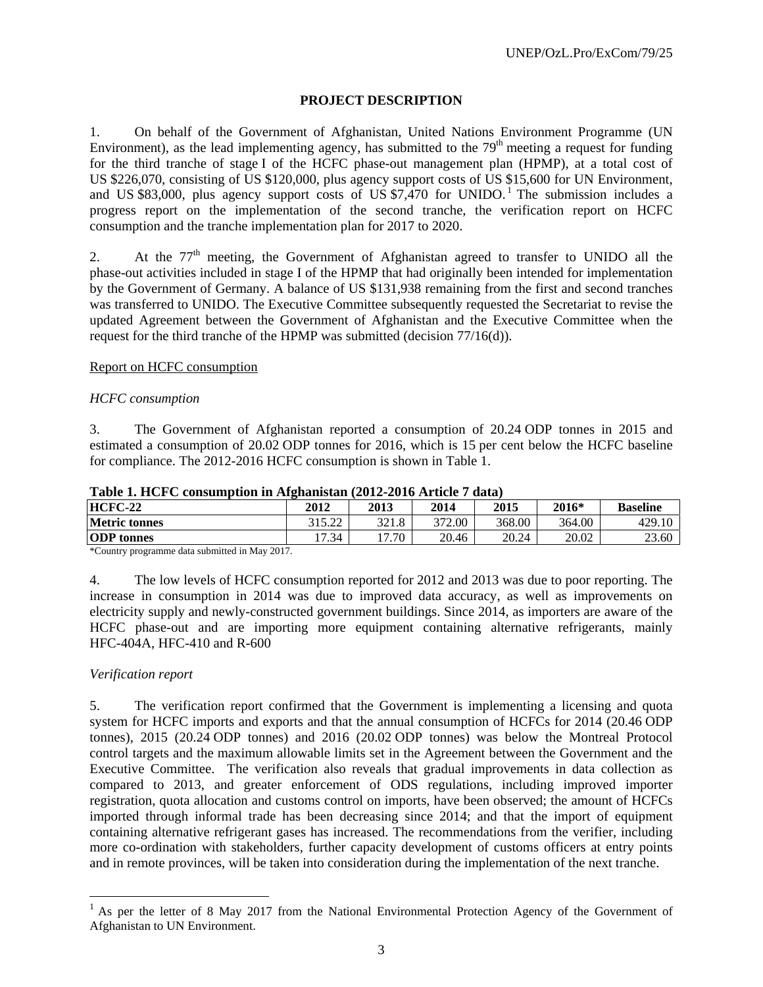## **PROJECT DESCRIPTION**

1. On behalf of the Government of Afghanistan, United Nations Environment Programme (UN Environment), as the lead implementing agency, has submitted to the  $79<sup>th</sup>$  meeting a request for funding for the third tranche of stage I of the HCFC phase-out management plan (HPMP), at a total cost of US \$226,070, consisting of US \$120,000, plus agency support costs of US \$15,600 for UN Environment, and US \$83,000, plus agency support costs of US  $$7,470$  for UNIDO.<sup>1</sup> The submission includes a progress report on the implementation of the second tranche, the verification report on HCFC consumption and the tranche implementation plan for 2017 to 2020.

2. At the 77<sup>th</sup> meeting, the Government of Afghanistan agreed to transfer to UNIDO all the phase-out activities included in stage I of the HPMP that had originally been intended for implementation by the Government of Germany. A balance of US \$131,938 remaining from the first and second tranches was transferred to UNIDO. The Executive Committee subsequently requested the Secretariat to revise the updated Agreement between the Government of Afghanistan and the Executive Committee when the request for the third tranche of the HPMP was submitted (decision 77/16(d)).

#### Report on HCFC consumption

#### *HCFC consumption*

3. The Government of Afghanistan reported a consumption of 20.24 ODP tonnes in 2015 and estimated a consumption of 20.02 ODP tonnes for 2016, which is 15 per cent below the HCFC baseline for compliance. The 2012-2016 HCFC consumption is shown in Table 1.

| ------------         |                    |       |        | -------- |         |                 |
|----------------------|--------------------|-------|--------|----------|---------|-----------------|
| <b>HCFC-22</b>       | 2012               | 2013  | 2014   | 2015     | $2016*$ | <b>Baseline</b> |
| <b>Metric tonnes</b> | 315,77<br>ے کے د⊾י | 321.8 | 372.00 | 368.00   | 364.00  | 429.10          |
| <b>ODP</b> tonnes    | 17.34              | 17.70 | 20.46  | 20.24    | 20.02   | 23.60           |
| .<br>.               |                    |       |        |          |         |                 |

**Table 1. HCFC consumption in Afghanistan (2012-2016 Article 7 data)** 

\*Country programme data submitted in May 2017.

4. The low levels of HCFC consumption reported for 2012 and 2013 was due to poor reporting. The increase in consumption in 2014 was due to improved data accuracy, as well as improvements on electricity supply and newly-constructed government buildings. Since 2014, as importers are aware of the HCFC phase-out and are importing more equipment containing alternative refrigerants, mainly HFC-404A, HFC-410 and R-600

#### *Verification report*

l

5. The verification report confirmed that the Government is implementing a licensing and quota system for HCFC imports and exports and that the annual consumption of HCFCs for 2014 (20.46 ODP tonnes), 2015 (20.24 ODP tonnes) and 2016 (20.02 ODP tonnes) was below the Montreal Protocol control targets and the maximum allowable limits set in the Agreement between the Government and the Executive Committee. The verification also reveals that gradual improvements in data collection as compared to 2013, and greater enforcement of ODS regulations, including improved importer registration, quota allocation and customs control on imports, have been observed; the amount of HCFCs imported through informal trade has been decreasing since 2014; and that the import of equipment containing alternative refrigerant gases has increased. The recommendations from the verifier, including more co-ordination with stakeholders, further capacity development of customs officers at entry points and in remote provinces, will be taken into consideration during the implementation of the next tranche.

<sup>1</sup> As per the letter of 8 May 2017 from the National Environmental Protection Agency of the Government of Afghanistan to UN Environment.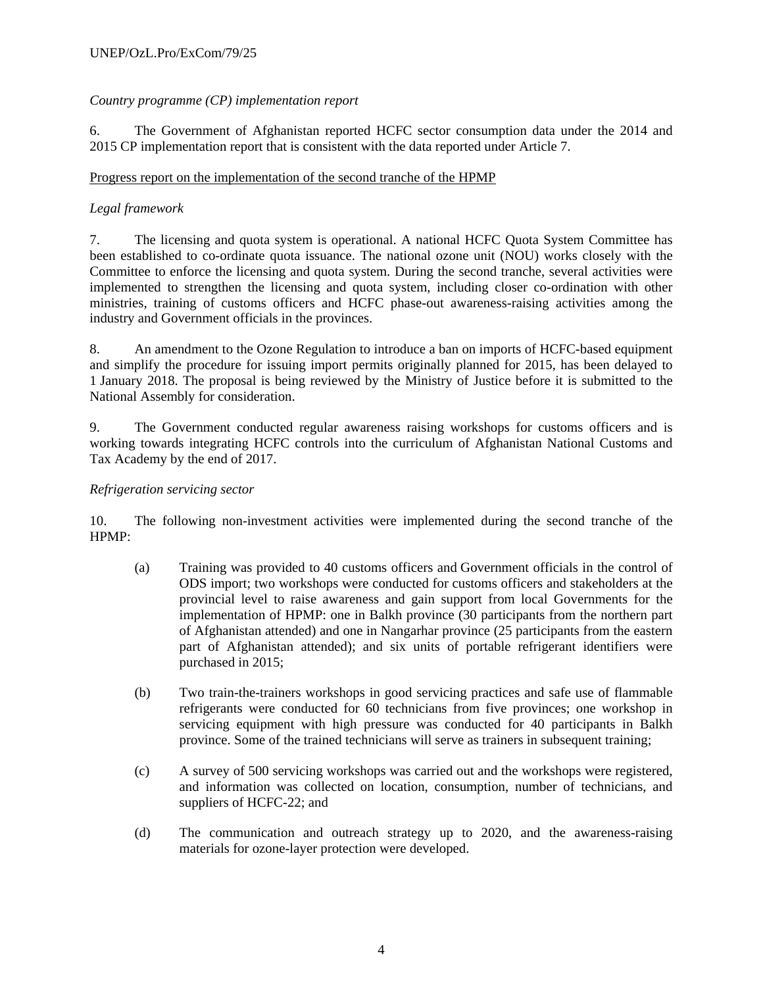## *Country programme (CP) implementation report*

6. The Government of Afghanistan reported HCFC sector consumption data under the 2014 and 2015 CP implementation report that is consistent with the data reported under Article 7.

## Progress report on the implementation of the second tranche of the HPMP

## *Legal framework*

7. The licensing and quota system is operational. A national HCFC Quota System Committee has been established to co-ordinate quota issuance. The national ozone unit (NOU) works closely with the Committee to enforce the licensing and quota system. During the second tranche, several activities were implemented to strengthen the licensing and quota system, including closer co-ordination with other ministries, training of customs officers and HCFC phase-out awareness-raising activities among the industry and Government officials in the provinces.

8. An amendment to the Ozone Regulation to introduce a ban on imports of HCFC-based equipment and simplify the procedure for issuing import permits originally planned for 2015, has been delayed to 1 January 2018. The proposal is being reviewed by the Ministry of Justice before it is submitted to the National Assembly for consideration.

9. The Government conducted regular awareness raising workshops for customs officers and is working towards integrating HCFC controls into the curriculum of Afghanistan National Customs and Tax Academy by the end of 2017.

## *Refrigeration servicing sector*

10. The following non-investment activities were implemented during the second tranche of the HPMP:

- (a) Training was provided to 40 customs officers and Government officials in the control of ODS import; two workshops were conducted for customs officers and stakeholders at the provincial level to raise awareness and gain support from local Governments for the implementation of HPMP: one in Balkh province (30 participants from the northern part of Afghanistan attended) and one in Nangarhar province (25 participants from the eastern part of Afghanistan attended); and six units of portable refrigerant identifiers were purchased in 2015;
- (b) Two train-the-trainers workshops in good servicing practices and safe use of flammable refrigerants were conducted for 60 technicians from five provinces; one workshop in servicing equipment with high pressure was conducted for 40 participants in Balkh province. Some of the trained technicians will serve as trainers in subsequent training;
- (c) A survey of 500 servicing workshops was carried out and the workshops were registered, and information was collected on location, consumption, number of technicians, and suppliers of HCFC-22; and
- (d) The communication and outreach strategy up to 2020, and the awareness-raising materials for ozone-layer protection were developed.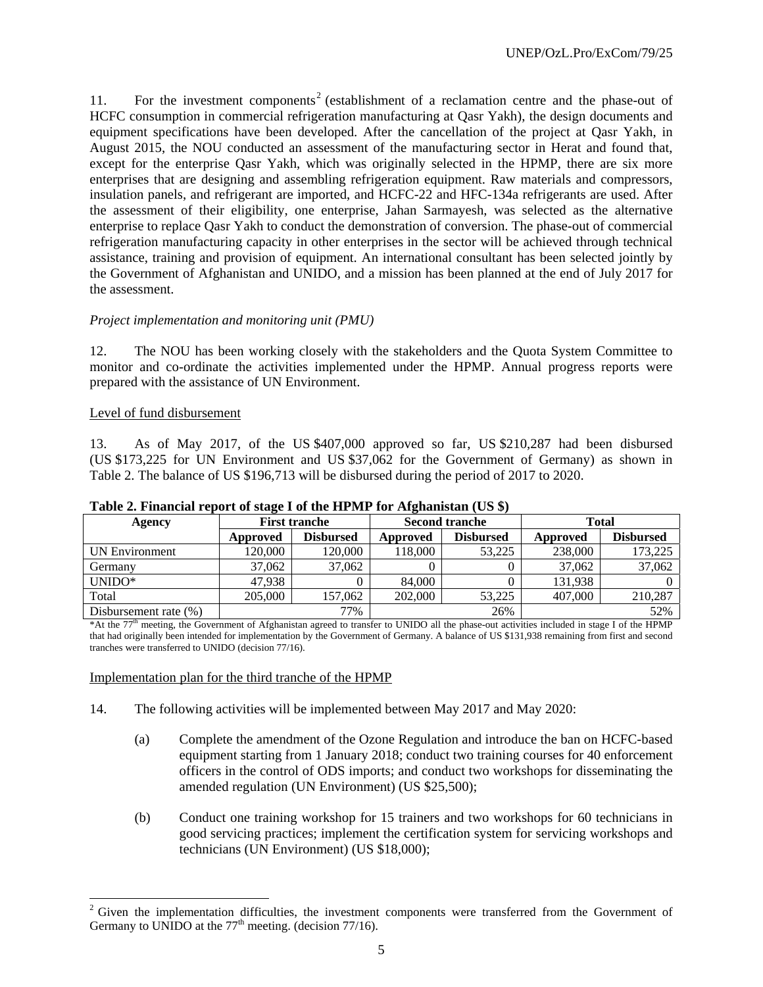11. For the investment components<sup>2</sup> (establishment of a reclamation centre and the phase-out of HCFC consumption in commercial refrigeration manufacturing at Qasr Yakh), the design documents and equipment specifications have been developed. After the cancellation of the project at Qasr Yakh, in August 2015, the NOU conducted an assessment of the manufacturing sector in Herat and found that, except for the enterprise Qasr Yakh, which was originally selected in the HPMP, there are six more enterprises that are designing and assembling refrigeration equipment. Raw materials and compressors, insulation panels, and refrigerant are imported, and HCFC-22 and HFC-134a refrigerants are used. After the assessment of their eligibility, one enterprise, Jahan Sarmayesh, was selected as the alternative enterprise to replace Qasr Yakh to conduct the demonstration of conversion. The phase-out of commercial refrigeration manufacturing capacity in other enterprises in the sector will be achieved through technical assistance, training and provision of equipment. An international consultant has been selected jointly by the Government of Afghanistan and UNIDO, and a mission has been planned at the end of July 2017 for the assessment.

#### *Project implementation and monitoring unit (PMU)*

12. The NOU has been working closely with the stakeholders and the Quota System Committee to monitor and co-ordinate the activities implemented under the HPMP. Annual progress reports were prepared with the assistance of UN Environment.

#### Level of fund disbursement

1

13. As of May 2017, of the US \$407,000 approved so far, US \$210,287 had been disbursed (US \$173,225 for UN Environment and US \$37,062 for the Government of Germany) as shown in Table 2. The balance of US \$196,713 will be disbursed during the period of 2017 to 2020.

|                          | There is a might and report of bulge I of the HI bill for the implimition (OD $\psi$ ) |                      |         |                       |              |                  |  |  |  |  |  |
|--------------------------|----------------------------------------------------------------------------------------|----------------------|---------|-----------------------|--------------|------------------|--|--|--|--|--|
| Agency                   |                                                                                        | <b>First tranche</b> |         | <b>Second tranche</b> | <b>Total</b> |                  |  |  |  |  |  |
|                          | Approved                                                                               | <b>Disbursed</b>     |         | <b>Disbursed</b>      | Approved     | <b>Disbursed</b> |  |  |  |  |  |
| UN Environment           | 120.000                                                                                | 120,000              | 118,000 | 53,225                | 238,000      | 173,225          |  |  |  |  |  |
| Germany                  | 37,062                                                                                 | 37,062               |         |                       | 37,062       | 37,062           |  |  |  |  |  |
| $UNIDO*$                 | 47.938                                                                                 |                      | 84,000  |                       | 131.938      |                  |  |  |  |  |  |
| Total                    | 205,000                                                                                | 157,062              | 202,000 | 53,225                | 407,000      | 210,287          |  |  |  |  |  |
| Disbursement rate $(\%)$ |                                                                                        | 77%                  |         | 26%                   |              | 52%              |  |  |  |  |  |

#### **Table 2. Financial report of stage I of the HPMP for Afghanistan (US \$)**

\*At the 77th meeting, the Government of Afghanistan agreed to transfer to UNIDO all the phase-out activities included in stage I of the HPMP that had originally been intended for implementation by the Government of Germany. A balance of US \$131,938 remaining from first and second tranches were transferred to UNIDO (decision 77/16).

#### Implementation plan for the third tranche of the HPMP

- 14. The following activities will be implemented between May 2017 and May 2020:
	- (a) Complete the amendment of the Ozone Regulation and introduce the ban on HCFC-based equipment starting from 1 January 2018; conduct two training courses for 40 enforcement officers in the control of ODS imports; and conduct two workshops for disseminating the amended regulation (UN Environment) (US \$25,500);
	- (b) Conduct one training workshop for 15 trainers and two workshops for 60 technicians in good servicing practices; implement the certification system for servicing workshops and technicians (UN Environment) (US \$18,000);

 $2$  Given the implementation difficulties, the investment components were transferred from the Government of Germany to UNIDO at the  $77<sup>th</sup>$  meeting. (decision 77/16).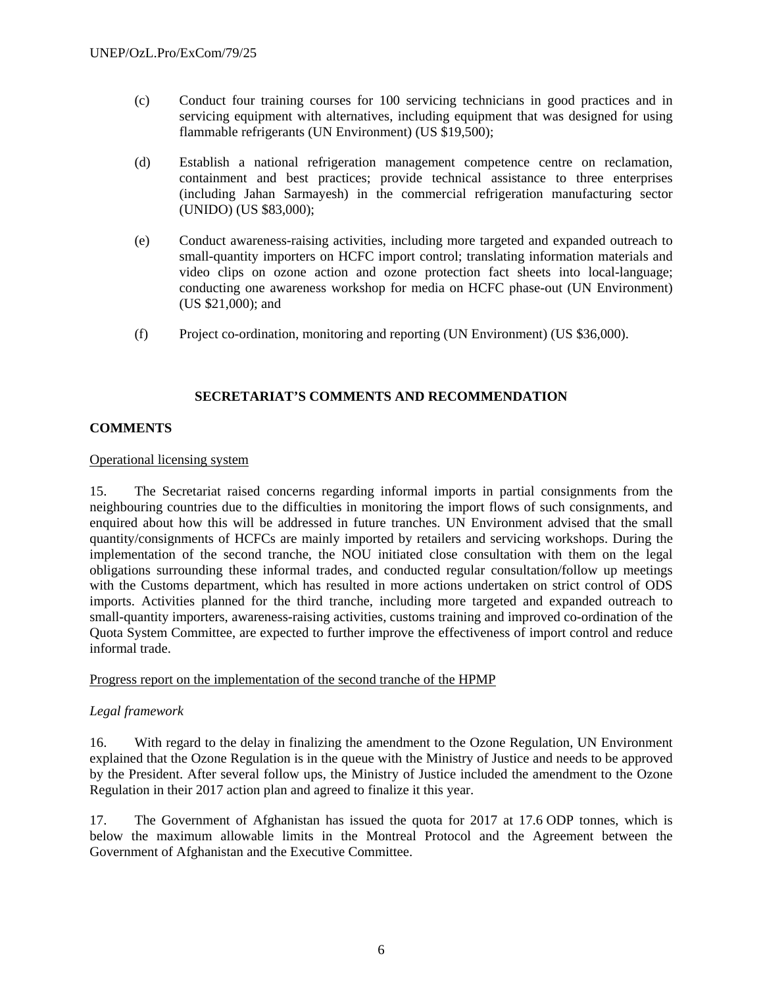- (c) Conduct four training courses for 100 servicing technicians in good practices and in servicing equipment with alternatives, including equipment that was designed for using flammable refrigerants (UN Environment) (US \$19,500);
- (d) Establish a national refrigeration management competence centre on reclamation, containment and best practices; provide technical assistance to three enterprises (including Jahan Sarmayesh) in the commercial refrigeration manufacturing sector (UNIDO) (US \$83,000);
- (e) Conduct awareness-raising activities, including more targeted and expanded outreach to small-quantity importers on HCFC import control; translating information materials and video clips on ozone action and ozone protection fact sheets into local-language; conducting one awareness workshop for media on HCFC phase-out (UN Environment) (US \$21,000); and
- (f) Project co-ordination, monitoring and reporting (UN Environment) (US \$36,000).

#### **SECRETARIAT'S COMMENTS AND RECOMMENDATION**

## **COMMENTS**

#### Operational licensing system

15. The Secretariat raised concerns regarding informal imports in partial consignments from the neighbouring countries due to the difficulties in monitoring the import flows of such consignments, and enquired about how this will be addressed in future tranches. UN Environment advised that the small quantity/consignments of HCFCs are mainly imported by retailers and servicing workshops. During the implementation of the second tranche, the NOU initiated close consultation with them on the legal obligations surrounding these informal trades, and conducted regular consultation/follow up meetings with the Customs department, which has resulted in more actions undertaken on strict control of ODS imports. Activities planned for the third tranche, including more targeted and expanded outreach to small-quantity importers, awareness-raising activities, customs training and improved co-ordination of the Quota System Committee, are expected to further improve the effectiveness of import control and reduce informal trade.

#### Progress report on the implementation of the second tranche of the HPMP

#### *Legal framework*

16. With regard to the delay in finalizing the amendment to the Ozone Regulation, UN Environment explained that the Ozone Regulation is in the queue with the Ministry of Justice and needs to be approved by the President. After several follow ups, the Ministry of Justice included the amendment to the Ozone Regulation in their 2017 action plan and agreed to finalize it this year.

17. The Government of Afghanistan has issued the quota for 2017 at 17.6 ODP tonnes, which is below the maximum allowable limits in the Montreal Protocol and the Agreement between the Government of Afghanistan and the Executive Committee.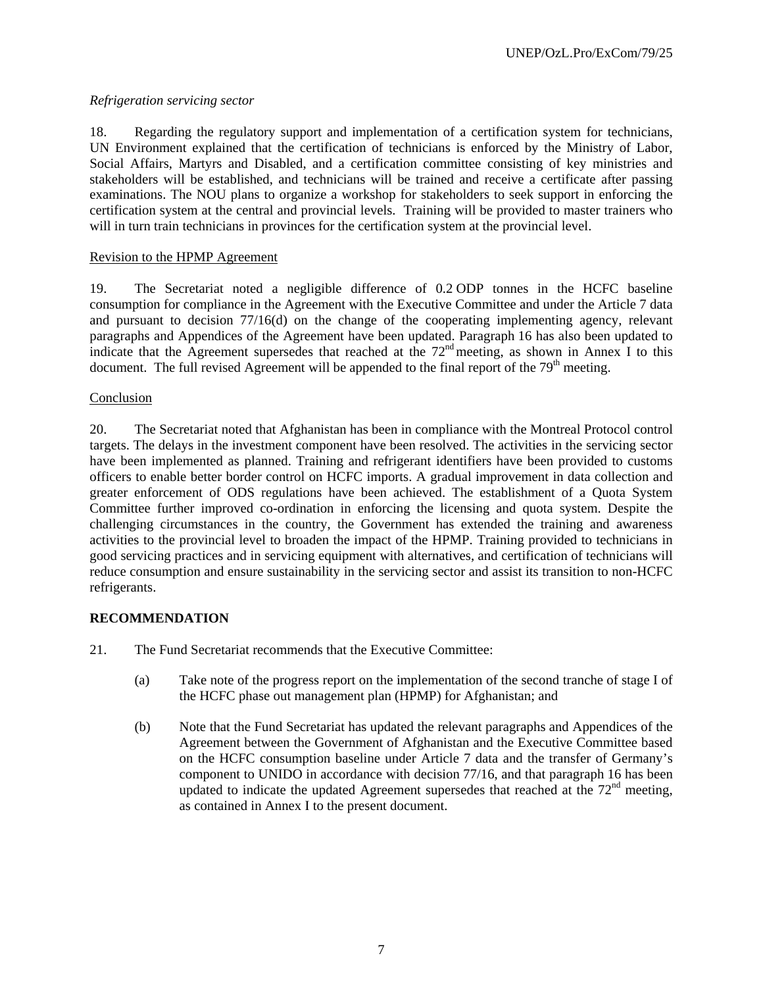## *Refrigeration servicing sector*

18. Regarding the regulatory support and implementation of a certification system for technicians, UN Environment explained that the certification of technicians is enforced by the Ministry of Labor, Social Affairs, Martyrs and Disabled, and a certification committee consisting of key ministries and stakeholders will be established, and technicians will be trained and receive a certificate after passing examinations. The NOU plans to organize a workshop for stakeholders to seek support in enforcing the certification system at the central and provincial levels. Training will be provided to master trainers who will in turn train technicians in provinces for the certification system at the provincial level.

## Revision to the HPMP Agreement

19. The Secretariat noted a negligible difference of 0.2 ODP tonnes in the HCFC baseline consumption for compliance in the Agreement with the Executive Committee and under the Article 7 data and pursuant to decision 77/16(d) on the change of the cooperating implementing agency, relevant paragraphs and Appendices of the Agreement have been updated. Paragraph 16 has also been updated to indicate that the Agreement supersedes that reached at the 72<sup>nd</sup> meeting, as shown in Annex I to this document. The full revised Agreement will be appended to the final report of the  $79<sup>th</sup>$  meeting.

## Conclusion

20. The Secretariat noted that Afghanistan has been in compliance with the Montreal Protocol control targets. The delays in the investment component have been resolved. The activities in the servicing sector have been implemented as planned. Training and refrigerant identifiers have been provided to customs officers to enable better border control on HCFC imports. A gradual improvement in data collection and greater enforcement of ODS regulations have been achieved. The establishment of a Quota System Committee further improved co-ordination in enforcing the licensing and quota system. Despite the challenging circumstances in the country, the Government has extended the training and awareness activities to the provincial level to broaden the impact of the HPMP. Training provided to technicians in good servicing practices and in servicing equipment with alternatives, and certification of technicians will reduce consumption and ensure sustainability in the servicing sector and assist its transition to non-HCFC refrigerants.

## **RECOMMENDATION**

- 21. The Fund Secretariat recommends that the Executive Committee:
	- (a) Take note of the progress report on the implementation of the second tranche of stage I of the HCFC phase out management plan (HPMP) for Afghanistan; and
	- (b) Note that the Fund Secretariat has updated the relevant paragraphs and Appendices of the Agreement between the Government of Afghanistan and the Executive Committee based on the HCFC consumption baseline under Article 7 data and the transfer of Germany's component to UNIDO in accordance with decision 77/16, and that paragraph 16 has been updated to indicate the updated Agreement supersedes that reached at the  $72<sup>nd</sup>$  meeting. as contained in Annex I to the present document.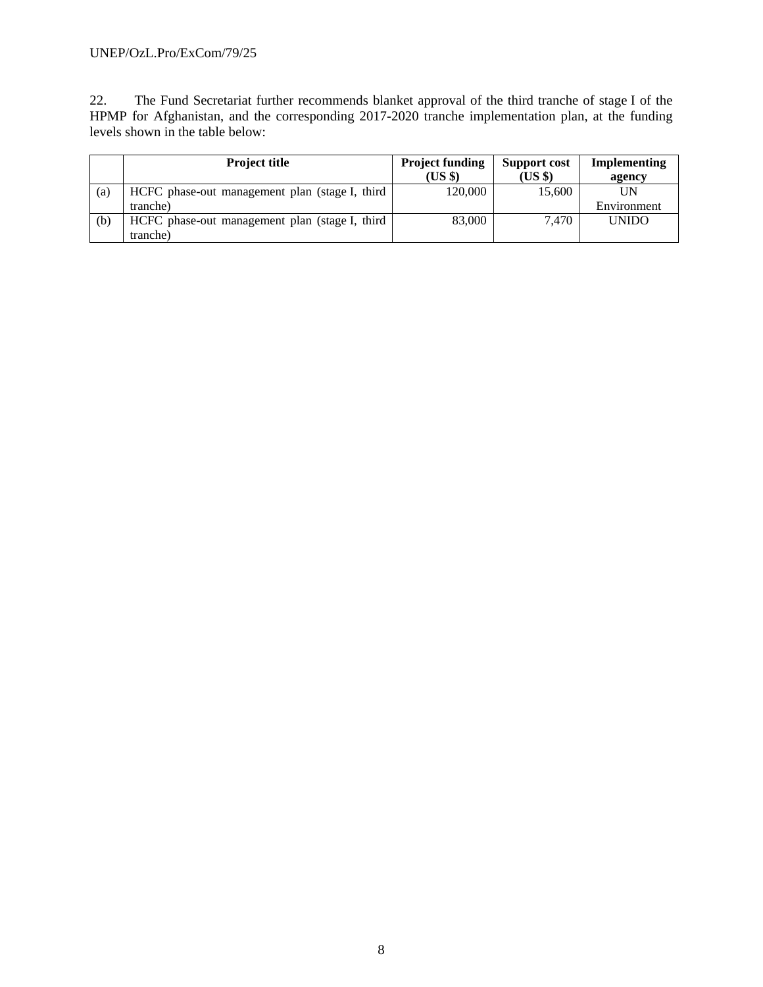#### UNEP/OzL.Pro/ExCom/79/25

22. The Fund Secretariat further recommends blanket approval of the third tranche of stage I of the HPMP for Afghanistan, and the corresponding 2017-2020 tranche implementation plan, at the funding levels shown in the table below:

|     | <b>Project title</b>                           | <b>Project funding</b><br>$(US \$ | <b>Support cost</b><br>(US \$) | Implementing<br>agency |
|-----|------------------------------------------------|-----------------------------------|--------------------------------|------------------------|
| (a) | HCFC phase-out management plan (stage I, third | 120,000                           | 15,600                         | UN                     |
|     | tranche)                                       |                                   |                                | Environment            |
| (b) | HCFC phase-out management plan (stage I, third | 83,000                            | 7.470                          | <b>UNIDO</b>           |
|     | tranche)                                       |                                   |                                |                        |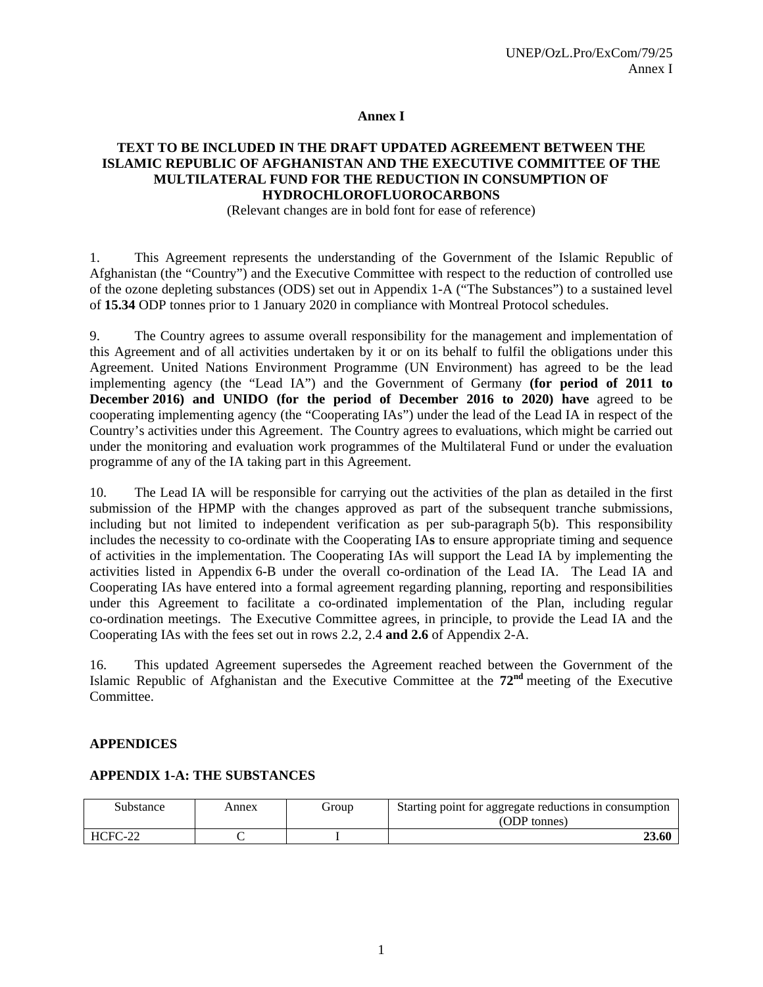#### **Annex I**

#### **TEXT TO BE INCLUDED IN THE DRAFT UPDATED AGREEMENT BETWEEN THE ISLAMIC REPUBLIC OF AFGHANISTAN AND THE EXECUTIVE COMMITTEE OF THE MULTILATERAL FUND FOR THE REDUCTION IN CONSUMPTION OF HYDROCHLOROFLUOROCARBONS**

(Relevant changes are in bold font for ease of reference)

1. This Agreement represents the understanding of the Government of the Islamic Republic of Afghanistan (the "Country") and the Executive Committee with respect to the reduction of controlled use of the ozone depleting substances (ODS) set out in Appendix 1-A ("The Substances") to a sustained level of **15.34** ODP tonnes prior to 1 January 2020 in compliance with Montreal Protocol schedules.

9. The Country agrees to assume overall responsibility for the management and implementation of this Agreement and of all activities undertaken by it or on its behalf to fulfil the obligations under this Agreement. United Nations Environment Programme (UN Environment) has agreed to be the lead implementing agency (the "Lead IA") and the Government of Germany **(for period of 2011 to December 2016) and UNIDO (for the period of December 2016 to 2020) have** agreed to be cooperating implementing agency (the "Cooperating IAs") under the lead of the Lead IA in respect of the Country's activities under this Agreement. The Country agrees to evaluations, which might be carried out under the monitoring and evaluation work programmes of the Multilateral Fund or under the evaluation programme of any of the IA taking part in this Agreement.

10. The Lead IA will be responsible for carrying out the activities of the plan as detailed in the first submission of the HPMP with the changes approved as part of the subsequent tranche submissions, including but not limited to independent verification as per sub-paragraph 5(b). This responsibility includes the necessity to co-ordinate with the Cooperating IA**s** to ensure appropriate timing and sequence of activities in the implementation. The Cooperating IAs will support the Lead IA by implementing the activities listed in Appendix 6-B under the overall co-ordination of the Lead IA. The Lead IA and Cooperating IAs have entered into a formal agreement regarding planning, reporting and responsibilities under this Agreement to facilitate a co-ordinated implementation of the Plan, including regular co-ordination meetings. The Executive Committee agrees, in principle, to provide the Lead IA and the Cooperating IAs with the fees set out in rows 2.2, 2.4 **and 2.6** of Appendix 2-A.

16. This updated Agreement supersedes the Agreement reached between the Government of the Islamic Republic of Afghanistan and the Executive Committee at the **72nd** meeting of the Executive Committee.

#### **APPENDICES**

## **APPENDIX 1-A: THE SUBSTANCES**

| Substance       | Annex | eroup | Starting point for aggregate reductions in consumption<br>(ODP tonnes) |  |  |  |  |
|-----------------|-------|-------|------------------------------------------------------------------------|--|--|--|--|
| HCFC-22<br>$-L$ |       |       | 23.60                                                                  |  |  |  |  |